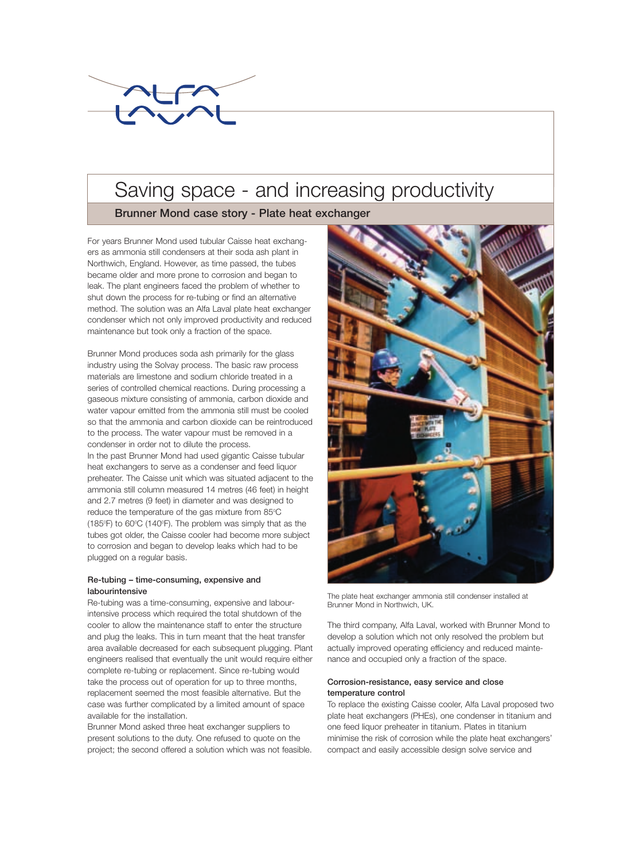

# Saving space - and increasing productivity

**Brunner Mond case story - Plate heat exchanger**

For years Brunner Mond used tubular Caisse heat exchangers as ammonia still condensers at their soda ash plant in Northwich, England. However, as time passed, the tubes became older and more prone to corrosion and began to leak. The plant engineers faced the problem of whether to shut down the process for re-tubing or find an alternative method. The solution was an Alfa Laval plate heat exchanger condenser which not only improved productivity and reduced maintenance but took only a fraction of the space.

Brunner Mond produces soda ash primarily for the glass industry using the Solvay process. The basic raw process materials are limestone and sodium chloride treated in a series of controlled chemical reactions. During processing a gaseous mixture consisting of ammonia, carbon dioxide and water vapour emitted from the ammonia still must be cooled so that the ammonia and carbon dioxide can be reintroduced to the process. The water vapour must be removed in a condenser in order not to dilute the process. In the past Brunner Mond had used gigantic Caisse tubular heat exchangers to serve as a condenser and feed liquor preheater. The Caisse unit which was situated adjacent to the ammonia still column measured 14 metres (46 feet) in height and 2.7 metres (9 feet) in diameter and was designed to reduce the temperature of the gas mixture from  $85^{\circ}$ C (185°F) to 60°C (140°F). The problem was simply that as the tubes got older, the Caisse cooler had become more subject to corrosion and began to develop leaks which had to be plugged on a regular basis.

### **Re-tubing – time-consuming, expensive and labourintensive**

Re-tubing was a time-consuming, expensive and labourintensive process which required the total shutdown of the cooler to allow the maintenance staff to enter the structure and plug the leaks. This in turn meant that the heat transfer area available decreased for each subsequent plugging. Plant engineers realised that eventually the unit would require either complete re-tubing or replacement. Since re-tubing would take the process out of operation for up to three months, replacement seemed the most feasible alternative. But the case was further complicated by a limited amount of space available for the installation.

Brunner Mond asked three heat exchanger suppliers to present solutions to the duty. One refused to quote on the project; the second offered a solution which was not feasible.



The plate heat exchanger ammonia still condenser installed at Brunner Mond in Northwich, UK.

The third company, Alfa Laval, worked with Brunner Mond to develop a solution which not only resolved the problem but actually improved operating efficiency and reduced maintenance and occupied only a fraction of the space.

## **Corrosion-resistance, easy service and close temperature control**

To replace the existing Caisse cooler, Alfa Laval proposed two plate heat exchangers (PHEs), one condenser in titanium and one feed liquor preheater in titanium. Plates in titanium minimise the risk of corrosion while the plate heat exchangers' compact and easily accessible design solve service and